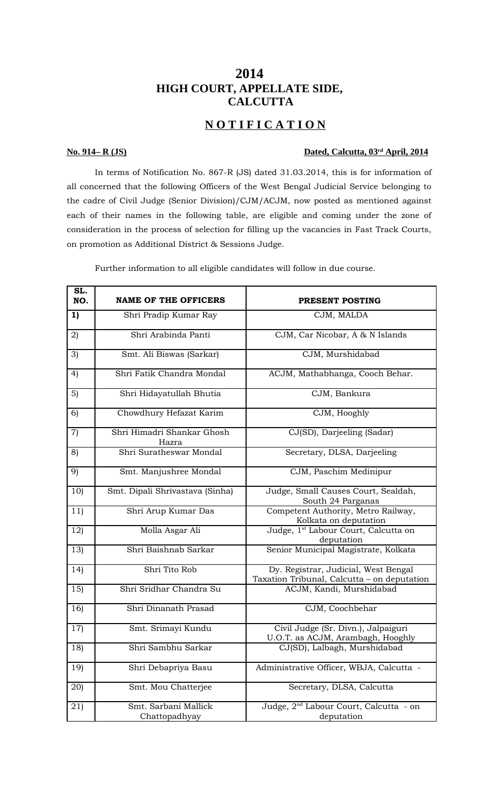## **2014 HIGH COURT, APPELLATE SIDE, CALCUTTA**

# **N O T I F I C A T I O N**

### **No. 914– R (JS) Dated, Calcutta, 03rd April, 2014**

In terms of Notification No. 867-R (JS) dated 31.03.2014, this is for information of all concerned that the following Officers of the West Bengal Judicial Service belonging to the cadre of Civil Judge (Senior Division)/CJM/ACJM, now posted as mentioned against each of their names in the following table, are eligible and coming under the zone of consideration in the process of selection for filling up the vacancies in Fast Track Courts, on promotion as Additional District & Sessions Judge.

Further information to all eligible candidates will follow in due course.

| SL.<br>NO. | <b>NAME OF THE OFFICERS</b>           | PRESENT POSTING                                                                     |
|------------|---------------------------------------|-------------------------------------------------------------------------------------|
| 1)         | Shri Pradip Kumar Ray                 | CJM, MALDA                                                                          |
| 2)         | Shri Arabinda Panti                   | CJM, Car Nicobar, A & N Islands                                                     |
| 3)         | Smt. Ali Biswas (Sarkar)              | CJM, Murshidabad                                                                    |
| 4)         | Shri Fatik Chandra Mondal             | ACJM, Mathabhanga, Cooch Behar.                                                     |
| 5)         | Shri Hidayatullah Bhutia              | CJM, Bankura                                                                        |
| 6)         | Chowdhury Hefazat Karim               | CJM, Hooghly                                                                        |
| 7)         | Shri Himadri Shankar Ghosh<br>Hazra   | CJ(SD), Darjeeling (Sadar)                                                          |
| 8)         | Shri Suratheswar Mondal               | Secretary, DLSA, Darjeeling                                                         |
| 9)         | Smt. Manjushree Mondal                | CJM, Paschim Medinipur                                                              |
| 10)        | Smt. Dipali Shrivastava (Sinha)       | Judge, Small Causes Court, Sealdah,<br>South 24 Parganas                            |
| 11)        | Shri Arup Kumar Das                   | Competent Authority, Metro Railway,<br>Kolkata on deputation                        |
| 12)        | Molla Asgar Ali                       | Judge, 1 <sup>st</sup> Labour Court, Calcutta on<br>deputation                      |
| 13)        | Shri Baishnab Sarkar                  | Senior Municipal Magistrate, Kolkata                                                |
| 14)        | Shri Tito Rob                         | Dy. Registrar, Judicial, West Bengal<br>Taxation Tribunal, Calcutta - on deputation |
| 15)        | Shri Sridhar Chandra Su               | ACJM, Kandi, Murshidabad                                                            |
| 16)        | Shri Dinanath Prasad                  | CJM, Coochbehar                                                                     |
| 17)        | Smt. Srimayi Kundu                    | Civil Judge (Sr. Divn.), Jalpaiguri<br>U.O.T. as ACJM, Arambagh, Hooghly            |
| 18)        | Shri Sambhu Sarkar                    | CJ(SD), Lalbagh, Murshidabad                                                        |
| 19)        | Shri Debapriya Basu                   | Administrative Officer, WBJA, Calcutta -                                            |
| 20)        | Smt. Mou Chatterjee                   | Secretary, DLSA, Calcutta                                                           |
| 21)        | Smt. Sarbani Mallick<br>Chattopadhyay | Judge, 2 <sup>nd</sup> Labour Court, Calcutta - on<br>deputation                    |